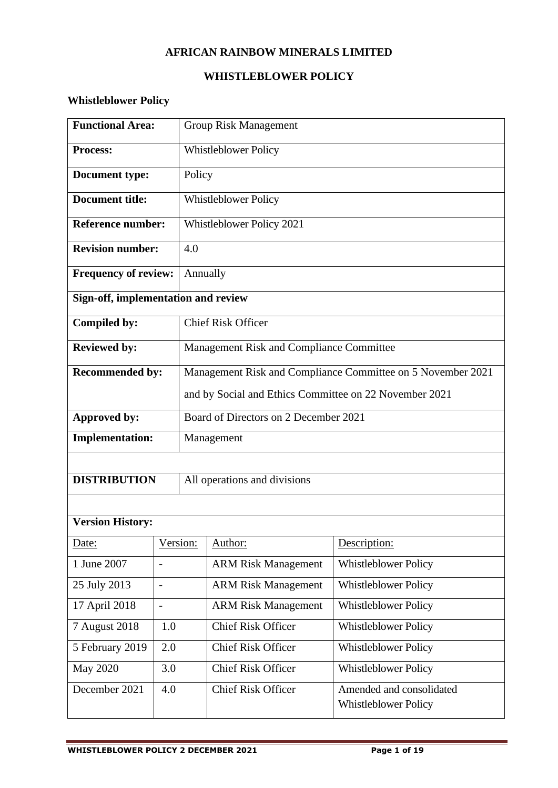# **AFRICAN RAINBOW MINERALS LIMITED**

# **WHISTLEBLOWER POLICY**

# **Whistleblower Policy**

| <b>Functional Area:</b>             |                          | <b>Group Risk Management</b>                                |                            |                             |  |
|-------------------------------------|--------------------------|-------------------------------------------------------------|----------------------------|-----------------------------|--|
| <b>Process:</b>                     |                          | <b>Whistleblower Policy</b>                                 |                            |                             |  |
| <b>Document type:</b>               |                          | Policy                                                      |                            |                             |  |
| <b>Document title:</b>              |                          | <b>Whistleblower Policy</b>                                 |                            |                             |  |
| <b>Reference number:</b>            |                          | Whistleblower Policy 2021                                   |                            |                             |  |
| <b>Revision number:</b>             |                          | 4.0                                                         |                            |                             |  |
| <b>Frequency of review:</b>         |                          | Annually                                                    |                            |                             |  |
| Sign-off, implementation and review |                          |                                                             |                            |                             |  |
| Compiled by:                        |                          | <b>Chief Risk Officer</b>                                   |                            |                             |  |
| <b>Reviewed by:</b>                 |                          | Management Risk and Compliance Committee                    |                            |                             |  |
| <b>Recommended by:</b>              |                          | Management Risk and Compliance Committee on 5 November 2021 |                            |                             |  |
|                                     |                          | and by Social and Ethics Committee on 22 November 2021      |                            |                             |  |
| Approved by:                        |                          | Board of Directors on 2 December 2021                       |                            |                             |  |
| <b>Implementation:</b>              |                          | Management                                                  |                            |                             |  |
|                                     |                          |                                                             |                            |                             |  |
| <b>DISTRIBUTION</b>                 |                          | All operations and divisions                                |                            |                             |  |
|                                     |                          |                                                             |                            |                             |  |
| <b>Version History:</b>             |                          |                                                             |                            |                             |  |
| Date:                               |                          | Version:                                                    | Author:                    | Description:                |  |
| 1 June 2007                         | $\overline{\phantom{a}}$ |                                                             | <b>ARM Risk Management</b> | <b>Whistleblower Policy</b> |  |
| 25 July 2013                        | $\overline{\phantom{0}}$ |                                                             | <b>ARM Risk Management</b> | <b>Whistleblower Policy</b> |  |
| 17 April 2018<br>$\blacksquare$     |                          |                                                             | <b>ARM Risk Management</b> | <b>Whistleblower Policy</b> |  |
| 7 August 2018                       | 1.0                      |                                                             | <b>Chief Risk Officer</b>  | Whistleblower Policy        |  |
| 5 February 2019<br>2.0              |                          |                                                             | <b>Chief Risk Officer</b>  | <b>Whistleblower Policy</b> |  |
| <b>May 2020</b>                     | 3.0                      |                                                             | <b>Chief Risk Officer</b>  | <b>Whistleblower Policy</b> |  |
| December 2021                       | 4.0                      |                                                             | <b>Chief Risk Officer</b>  | Amended and consolidated    |  |
|                                     |                          |                                                             |                            | Whistleblower Policy        |  |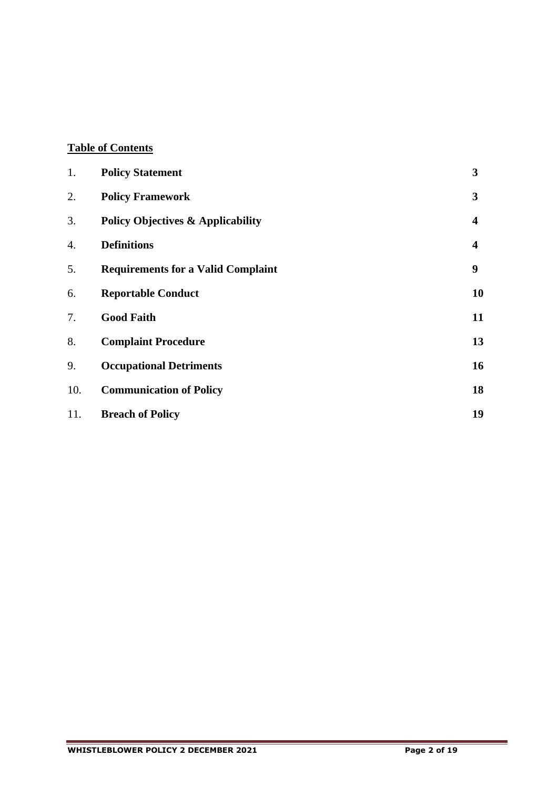# **Table of Contents**

| 1.  | <b>Policy Statement</b>                      | 3  |
|-----|----------------------------------------------|----|
| 2.  | <b>Policy Framework</b>                      | 3  |
| 3.  | <b>Policy Objectives &amp; Applicability</b> | 4  |
| 4.  | <b>Definitions</b>                           | 4  |
| 5.  | <b>Requirements for a Valid Complaint</b>    | 9  |
| 6.  | <b>Reportable Conduct</b>                    | 10 |
| 7.  | <b>Good Faith</b>                            | 11 |
| 8.  | <b>Complaint Procedure</b>                   | 13 |
| 9.  | <b>Occupational Detriments</b>               | 16 |
| 10. | <b>Communication of Policy</b>               | 18 |
| 11. | <b>Breach of Policy</b>                      | 19 |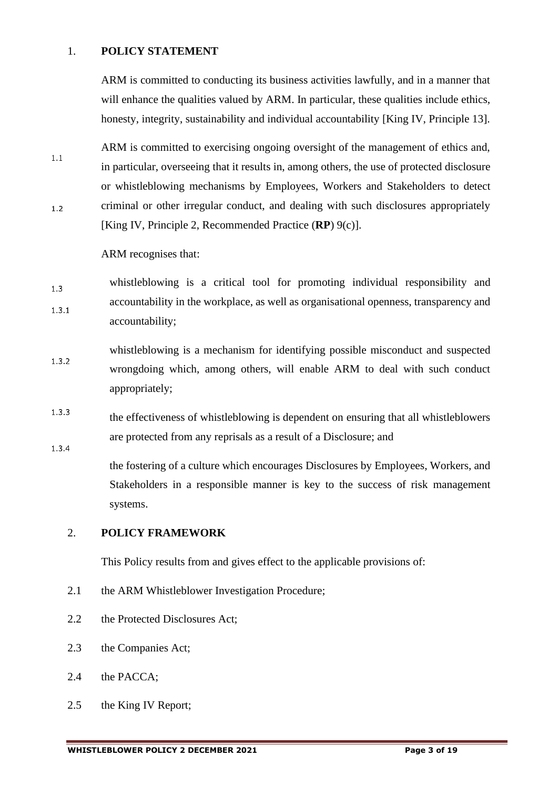#### 1. **POLICY STATEMENT**

ARM is committed to conducting its business activities lawfully, and in a manner that will enhance the qualities valued by ARM. In particular, these qualities include ethics, honesty, integrity, sustainability and individual accountability [King IV, Principle 13].

ARM is committed to exercising ongoing oversight of the management of ethics and,  $1.1$ in particular, overseeing that it results in, among others, the use of protected disclosure or whistleblowing mechanisms by Employees, Workers and Stakeholders to detect criminal or other irregular conduct, and dealing with such disclosures appropriately  $1.2$ [King IV, Principle 2, Recommended Practice (**RP**) 9(c)].

ARM recognises that:

- whistleblowing is a critical tool for promoting individual responsibility and  $1.3$ accountability in the workplace, as well as organisational openness, transparency and  $1.3.1$ accountability;
- whistleblowing is a mechanism for identifying possible misconduct and suspected  $1.3.2$ wrongdoing which, among others, will enable ARM to deal with such conduct appropriately;
- $1.3.3$ the effectiveness of whistleblowing is dependent on ensuring that all whistleblowers are protected from any reprisals as a result of a Disclosure; and  $1.3.4$

the fostering of a culture which encourages Disclosures by Employees, Workers, and Stakeholders in a responsible manner is key to the success of risk management systems.

#### 2. **POLICY FRAMEWORK**

This Policy results from and gives effect to the applicable provisions of:

- 2.1 the ARM Whistleblower Investigation Procedure;
- 2.2 the Protected Disclosures Act;
- 2.3 the Companies Act;
- 2.4 the PACCA;
- 2.5 the King IV Report;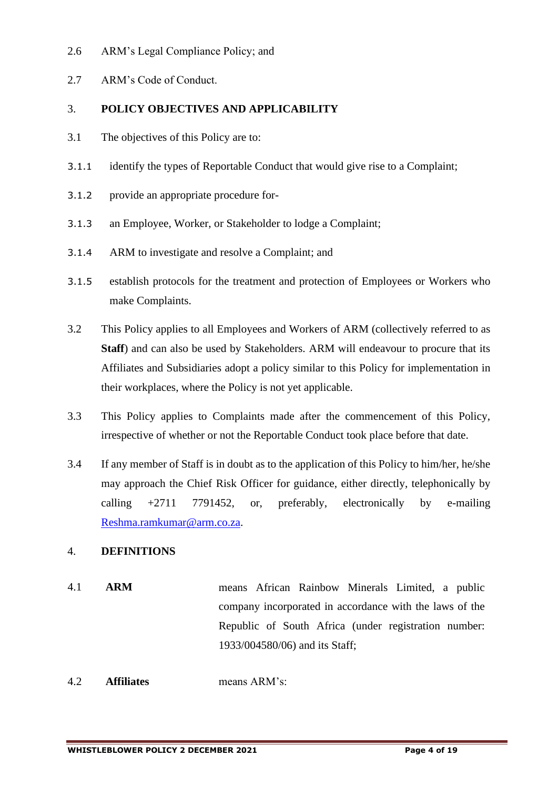#### 2.6 ARM's Legal Compliance Policy; and

2.7 ARM's Code of Conduct.

# 3. **POLICY OBJECTIVES AND APPLICABILITY**

- 3.1 The objectives of this Policy are to:
- 3.1.1 identify the types of Reportable Conduct that would give rise to a Complaint;
- 3.1.2 provide an appropriate procedure for-
- 3.1.3 an Employee, Worker, or Stakeholder to lodge a Complaint;
- 3.1.4 ARM to investigate and resolve a Complaint; and
- 3.1.5 establish protocols for the treatment and protection of Employees or Workers who make Complaints.
- 3.2 This Policy applies to all Employees and Workers of ARM (collectively referred to as **Staff**) and can also be used by Stakeholders. ARM will endeavour to procure that its Affiliates and Subsidiaries adopt a policy similar to this Policy for implementation in their workplaces, where the Policy is not yet applicable.
- 3.3 This Policy applies to Complaints made after the commencement of this Policy, irrespective of whether or not the Reportable Conduct took place before that date.
- 3.4 If any member of Staff is in doubt as to the application of this Policy to him/her, he/she may approach the Chief Risk Officer for guidance, either directly, telephonically by calling +2711 7791452, or, preferably, electronically by e-mailing [Reshma.ramkumar@arm.co.za.](mailto:Reshma.ramkumar@arm.co.za)

# 4. **DEFINITIONS**

- 4.1 **ARM** means African Rainbow Minerals Limited, a public company incorporated in accordance with the laws of the Republic of South Africa (under registration number: 1933/004580/06) and its Staff;
- 4.2 **Affiliates** means ARM's: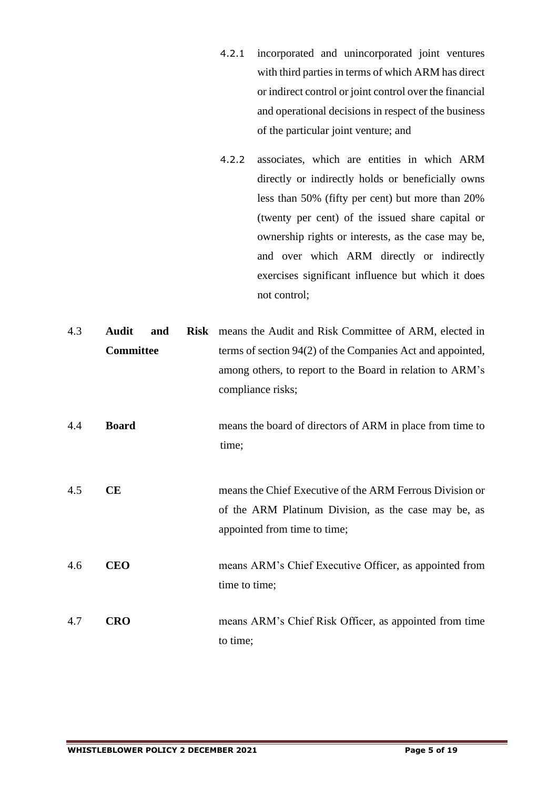- 4.2.1 incorporated and unincorporated joint ventures with third parties in terms of which ARM has direct or indirect control or joint control over the financial and operational decisions in respect of the business of the particular joint venture; and
- 4.2.2 associates, which are entities in which ARM directly or indirectly holds or beneficially owns less than 50% (fifty per cent) but more than 20% (twenty per cent) of the issued share capital or ownership rights or interests, as the case may be, and over which ARM directly or indirectly exercises significant influence but which it does not control;

| 4.3 | Audit            | and | <b>Risk</b> means the Audit and Risk Committee of ARM, elected in |
|-----|------------------|-----|-------------------------------------------------------------------|
|     | <b>Committee</b> |     | terms of section 94(2) of the Companies Act and appointed,        |
|     |                  |     | among others, to report to the Board in relation to ARM's         |
|     |                  |     | compliance risks;                                                 |
| 4.4 | <b>Board</b>     |     | means the board of directors of ARM in place from time to         |
|     |                  |     | time;                                                             |
|     |                  |     |                                                                   |
|     |                  |     |                                                                   |
| 4.5 | <b>CE</b>        |     | means the Chief Executive of the ARM Ferrous Division or          |
|     |                  |     | of the ARM Platinum Division, as the case may be, as              |
|     |                  |     | appointed from time to time;                                      |
| 4.6 | <b>CEO</b>       |     | means ARM's Chief Executive Officer, as appointed from            |
|     |                  |     | time to time;                                                     |
|     |                  |     |                                                                   |
| 4.7 | <b>CRO</b>       |     | means ARM's Chief Risk Officer, as appointed from time            |
|     |                  |     | to time;                                                          |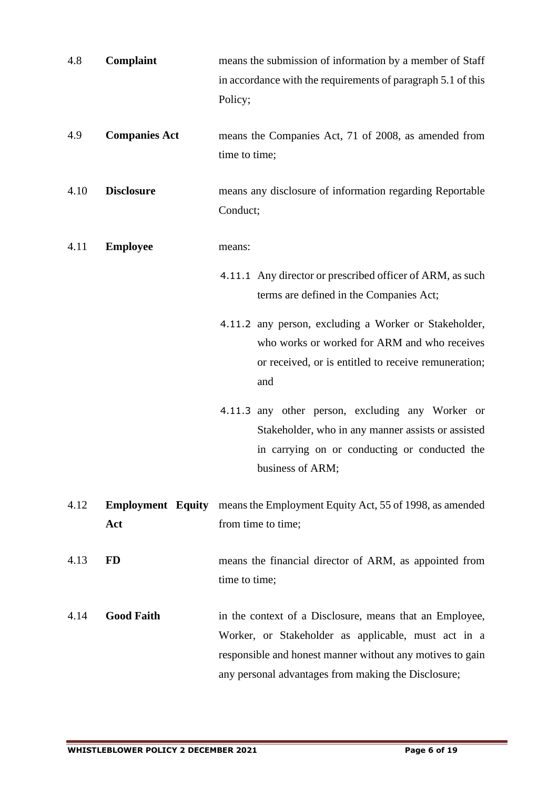| 4.8  | Complaint                       | means the submission of information by a member of Staff<br>in accordance with the requirements of paragraph 5.1 of this<br>Policy;                                                                                                |
|------|---------------------------------|------------------------------------------------------------------------------------------------------------------------------------------------------------------------------------------------------------------------------------|
| 4.9  | <b>Companies Act</b>            | means the Companies Act, 71 of 2008, as amended from<br>time to time;                                                                                                                                                              |
| 4.10 | <b>Disclosure</b>               | means any disclosure of information regarding Reportable<br>Conduct;                                                                                                                                                               |
| 4.11 | <b>Employee</b>                 | means:                                                                                                                                                                                                                             |
|      |                                 | 4.11.1 Any director or prescribed officer of ARM, as such<br>terms are defined in the Companies Act;                                                                                                                               |
|      |                                 | 4.11.2 any person, excluding a Worker or Stakeholder,<br>who works or worked for ARM and who receives<br>or received, or is entitled to receive remuneration;<br>and                                                               |
|      |                                 | 4.11.3 any other person, excluding any Worker or<br>Stakeholder, who in any manner assists or assisted<br>in carrying on or conducting or conducted the<br>business of ARM;                                                        |
| 4.12 | <b>Employment Equity</b><br>Act | means the Employment Equity Act, 55 of 1998, as amended<br>from time to time;                                                                                                                                                      |
| 4.13 | <b>FD</b>                       | means the financial director of ARM, as appointed from<br>time to time;                                                                                                                                                            |
| 4.14 | <b>Good Faith</b>               | in the context of a Disclosure, means that an Employee,<br>Worker, or Stakeholder as applicable, must act in a<br>responsible and honest manner without any motives to gain<br>any personal advantages from making the Disclosure; |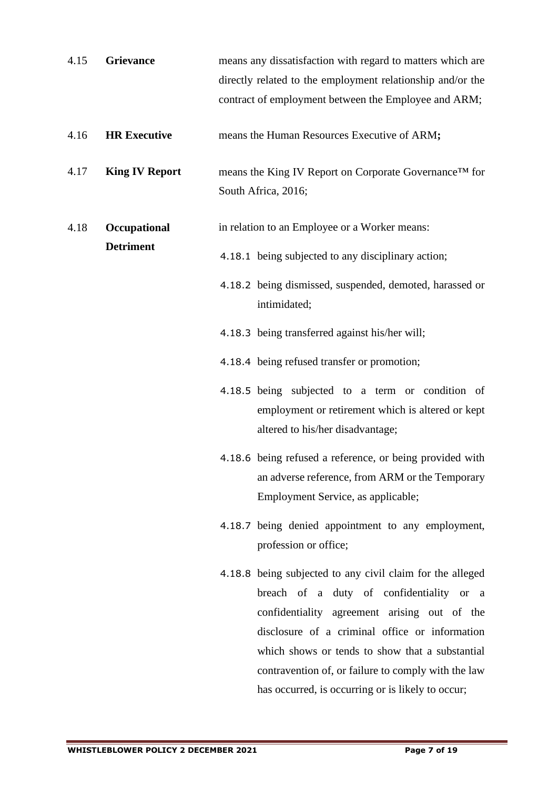| <b>Grievance</b>      | means any dissatisfaction with regard to matters which are<br>directly related to the employment relationship and/or the<br>contract of employment between the Employee and ARM;                                                                                                                                                                                       |
|-----------------------|------------------------------------------------------------------------------------------------------------------------------------------------------------------------------------------------------------------------------------------------------------------------------------------------------------------------------------------------------------------------|
| <b>HR Executive</b>   | means the Human Resources Executive of ARM;                                                                                                                                                                                                                                                                                                                            |
| <b>King IV Report</b> | means the King IV Report on Corporate Governance™ for<br>South Africa, 2016;                                                                                                                                                                                                                                                                                           |
| Occupational          | in relation to an Employee or a Worker means:                                                                                                                                                                                                                                                                                                                          |
| <b>Detriment</b>      | 4.18.1 being subjected to any disciplinary action;                                                                                                                                                                                                                                                                                                                     |
|                       | 4.18.2 being dismissed, suspended, demoted, harassed or<br>intimidated;                                                                                                                                                                                                                                                                                                |
|                       | 4.18.3 being transferred against his/her will;                                                                                                                                                                                                                                                                                                                         |
|                       | 4.18.4 being refused transfer or promotion;                                                                                                                                                                                                                                                                                                                            |
|                       | 4.18.5 being subjected to a term or condition of<br>employment or retirement which is altered or kept<br>altered to his/her disadvantage;                                                                                                                                                                                                                              |
|                       | 4.18.6 being refused a reference, or being provided with<br>an adverse reference, from ARM or the Temporary<br>Employment Service, as applicable;                                                                                                                                                                                                                      |
|                       | 4.18.7 being denied appointment to any employment,<br>profession or office;                                                                                                                                                                                                                                                                                            |
|                       | 4.18.8 being subjected to any civil claim for the alleged<br>breach of a duty of confidentiality or a<br>confidentiality agreement arising out of the<br>disclosure of a criminal office or information<br>which shows or tends to show that a substantial<br>contravention of, or failure to comply with the law<br>has occurred, is occurring or is likely to occur; |
|                       |                                                                                                                                                                                                                                                                                                                                                                        |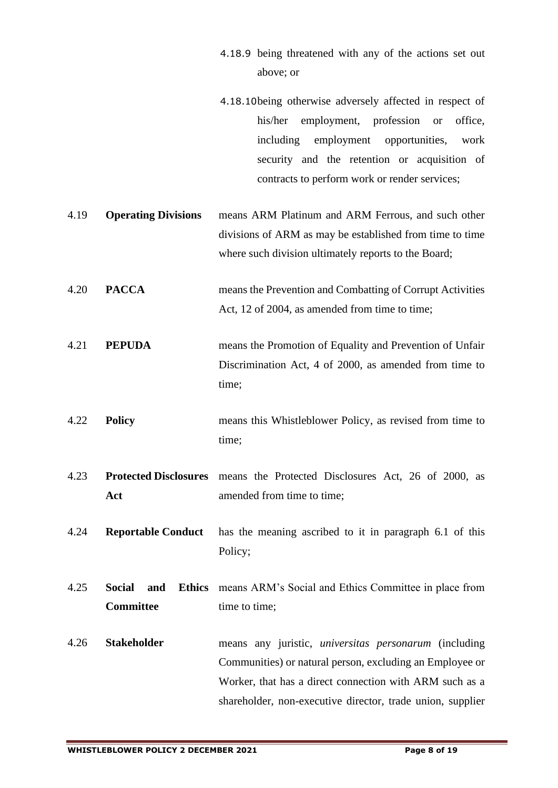- 4.18.9 being threatened with any of the actions set out above; or
- 4.18.10being otherwise adversely affected in respect of his/her employment, profession or office, including employment opportunities, work security and the retention or acquisition of contracts to perform work or render services;
- 4.19 **Operating Divisions** means ARM Platinum and ARM Ferrous, and such other divisions of ARM as may be established from time to time where such division ultimately reports to the Board;
- 4.20 **PACCA** means the Prevention and Combatting of Corrupt Activities Act, 12 of 2004, as amended from time to time;
- 4.21 **PEPUDA** means the Promotion of Equality and Prevention of Unfair Discrimination Act, 4 of 2000, as amended from time to time;
- 4.22 **Policy** means this Whistleblower Policy, as revised from time to time;
- 4.23 **Protected Disclosures**  means the Protected Disclosures Act, 26 of 2000, as **Act** amended from time to time;
- 4.24 **Reportable Conduct** has the meaning ascribed to it in paragraph [6.1](#page-9-0) of this Policy;
- 4.25 **Social and Ethics**  means ARM's Social and Ethics Committee in place from **Committee** time to time;
- 4.26 **Stakeholder** means any juristic, *universitas personarum* (including Communities) or natural person, excluding an Employee or Worker, that has a direct connection with ARM such as a shareholder, non-executive director, trade union, supplier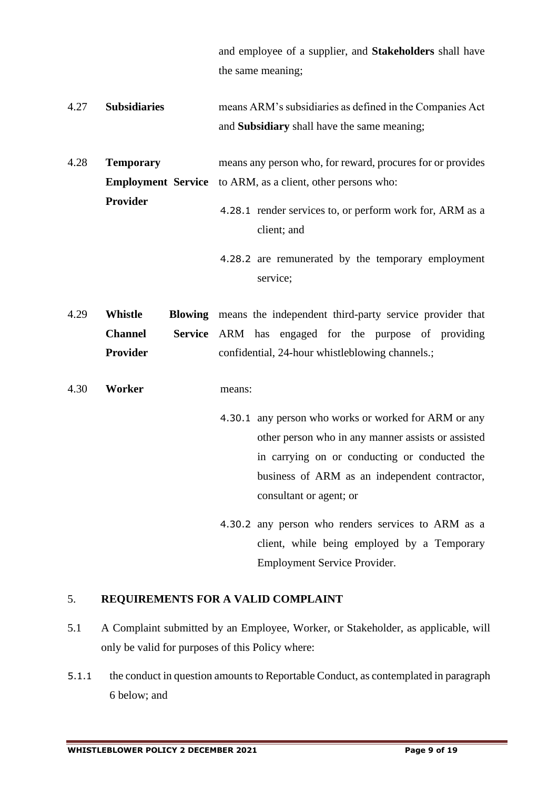and employee of a supplier, and **Stakeholders** shall have the same meaning;

- 4.27 **Subsidiaries** means ARM's subsidiaries as defined in the Companies Act and **Subsidiary** shall have the same meaning;
- 4.28 **Temporary Employment Service** to ARM, as a client, other persons who: **Provider** means any person who, for reward, procures for or provides 4.28.1 render services to, or perform work for, ARM as a
	- client; and
	- 4.28.2 are remunerated by the temporary employment service;

4.29 **Whistle Blowing**  means the independent third-party service provider that **Channel Provider** Service ARM has engaged for the purpose of providing confidential, 24-hour whistleblowing channels.;

- 4.30 **Worker** means:
	- 4.30.1 any person who works or worked for ARM or any other person who in any manner assists or assisted in carrying on or conducting or conducted the business of ARM as an independent contractor, consultant or agent; or
	- 4.30.2 any person who renders services to ARM as a client, while being employed by a Temporary Employment Service Provider.

# 5. **REQUIREMENTS FOR A VALID COMPLAINT**

- <span id="page-8-0"></span>5.1 A Complaint submitted by an Employee, Worker, or Stakeholder, as applicable, will only be valid for purposes of this Policy where:
- 5.1.1 the conduct in question amounts to Reportable Conduct, as contemplated in paragraph 6 below; and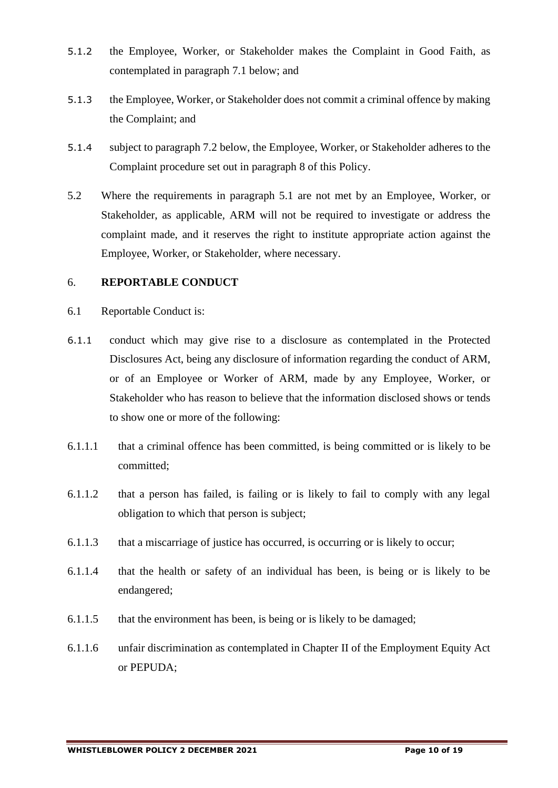- 5.1.2 the Employee, Worker, or Stakeholder makes the Complaint in Good Faith, as contemplated in paragraph [7.1](#page-10-0) below; and
- 5.1.3 the Employee, Worker, or Stakeholder does not commit a criminal offence by making the Complaint; and
- 5.1.4 subject to paragraph [7.2](#page-11-0) below, the Employee, Worker, or Stakeholder adheres to the Complaint procedure set out in paragraph [8](#page-12-0) of this Policy.
- 5.2 Where the requirements in paragraph [5.1](#page-8-0) are not met by an Employee, Worker, or Stakeholder, as applicable, ARM will not be required to investigate or address the complaint made, and it reserves the right to institute appropriate action against the Employee, Worker, or Stakeholder, where necessary.

#### 6. **REPORTABLE CONDUCT**

- <span id="page-9-0"></span>6.1 Reportable Conduct is:
- 6.1.1 conduct which may give rise to a disclosure as contemplated in the Protected Disclosures Act, being any disclosure of information regarding the conduct of ARM, or of an Employee or Worker of ARM, made by any Employee, Worker, or Stakeholder who has reason to believe that the information disclosed shows or tends to show one or more of the following:
- 6.1.1.1 that a criminal offence has been committed, is being committed or is likely to be committed;
- 6.1.1.2 that a person has failed, is failing or is likely to fail to comply with any legal obligation to which that person is subject;
- 6.1.1.3 that a miscarriage of justice has occurred, is occurring or is likely to occur;
- 6.1.1.4 that the health or safety of an individual has been, is being or is likely to be endangered;
- 6.1.1.5 that the environment has been, is being or is likely to be damaged;
- 6.1.1.6 unfair discrimination as contemplated in Chapter II of the Employment Equity Act or PEPUDA;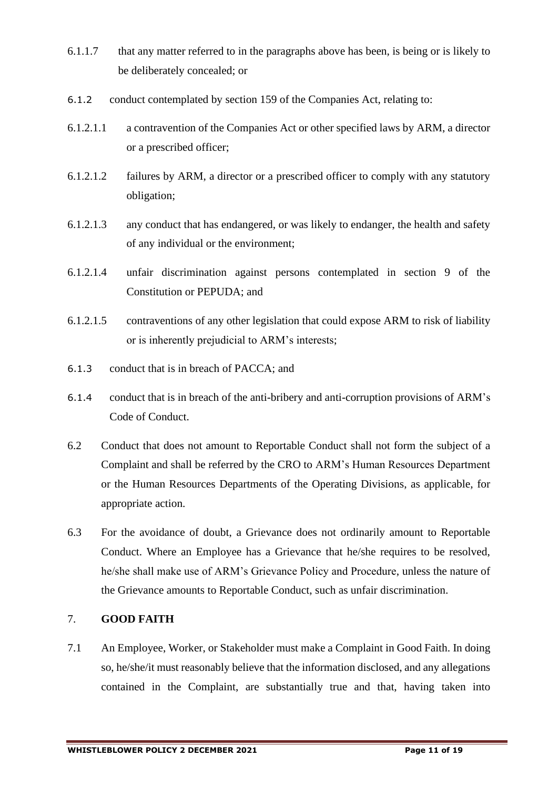- 6.1.1.7 that any matter referred to in the paragraphs above has been, is being or is likely to be deliberately concealed; or
- 6.1.2 conduct contemplated by section 159 of the Companies Act, relating to:
- 6.1.2.1.1 a contravention of the Companies Act or other specified laws by ARM, a director or a prescribed officer;
- 6.1.2.1.2 failures by ARM, a director or a prescribed officer to comply with any statutory obligation;
- 6.1.2.1.3 any conduct that has endangered, or was likely to endanger, the health and safety of any individual or the environment;
- 6.1.2.1.4 unfair discrimination against persons contemplated in section 9 of the Constitution or PEPUDA; and
- 6.1.2.1.5 contraventions of any other legislation that could expose ARM to risk of liability or is inherently prejudicial to ARM's interests;
- 6.1.3 conduct that is in breach of PACCA; and
- 6.1.4 conduct that is in breach of the anti-bribery and anti-corruption provisions of ARM's Code of Conduct.
- 6.2 Conduct that does not amount to Reportable Conduct shall not form the subject of a Complaint and shall be referred by the CRO to ARM's Human Resources Department or the Human Resources Departments of the Operating Divisions, as applicable, for appropriate action.
- 6.3 For the avoidance of doubt, a Grievance does not ordinarily amount to Reportable Conduct. Where an Employee has a Grievance that he/she requires to be resolved, he/she shall make use of ARM's Grievance Policy and Procedure, unless the nature of the Grievance amounts to Reportable Conduct, such as unfair discrimination.

# 7. **GOOD FAITH**

<span id="page-10-0"></span>7.1 An Employee, Worker, or Stakeholder must make a Complaint in Good Faith. In doing so, he/she/it must reasonably believe that the information disclosed, and any allegations contained in the Complaint, are substantially true and that, having taken into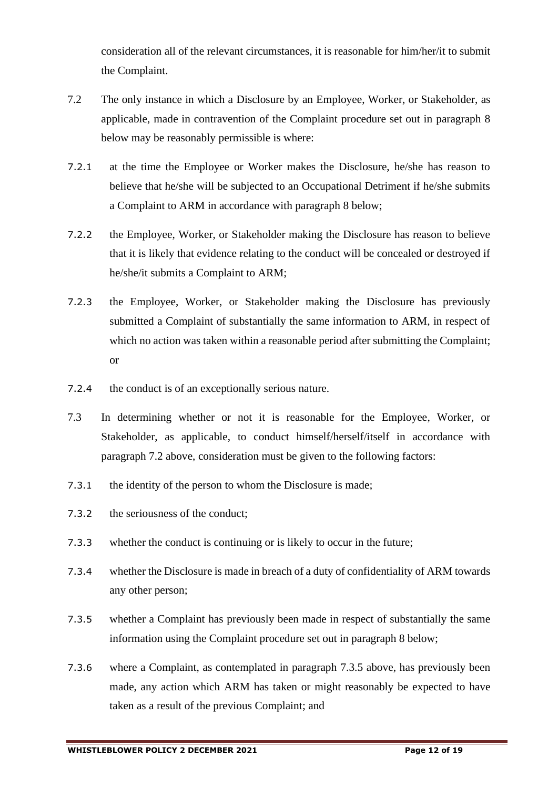consideration all of the relevant circumstances, it is reasonable for him/her/it to submit the Complaint.

- <span id="page-11-0"></span>7.2 The only instance in which a Disclosure by an Employee, Worker, or Stakeholder, as applicable, made in contravention of the Complaint procedure set out in paragraph [8](#page-12-0) below may be reasonably permissible is where:
- 7.2.1 at the time the Employee or Worker makes the Disclosure, he/she has reason to believe that he/she will be subjected to an Occupational Detriment if he/she submits a Complaint to ARM in accordance with paragraph [8](#page-12-0) below;
- 7.2.2 the Employee, Worker, or Stakeholder making the Disclosure has reason to believe that it is likely that evidence relating to the conduct will be concealed or destroyed if he/she/it submits a Complaint to ARM;
- 7.2.3 the Employee, Worker, or Stakeholder making the Disclosure has previously submitted a Complaint of substantially the same information to ARM, in respect of which no action was taken within a reasonable period after submitting the Complaint; or
- 7.2.4 the conduct is of an exceptionally serious nature.
- 7.3 In determining whether or not it is reasonable for the Employee, Worker, or Stakeholder, as applicable, to conduct himself/herself/itself in accordance with paragraph [7.2](#page-11-0) above, consideration must be given to the following factors:
- 7.3.1 the identity of the person to whom the Disclosure is made;
- 7.3.2 the seriousness of the conduct;
- 7.3.3 whether the conduct is continuing or is likely to occur in the future;
- 7.3.4 whether the Disclosure is made in breach of a duty of confidentiality of ARM towards any other person;
- <span id="page-11-1"></span>7.3.5 whether a Complaint has previously been made in respect of substantially the same information using the Complaint procedure set out in paragraph [8](#page-12-0) below;
- 7.3.6 where a Complaint, as contemplated in paragraph [7.3.5](#page-11-1) above, has previously been made, any action which ARM has taken or might reasonably be expected to have taken as a result of the previous Complaint; and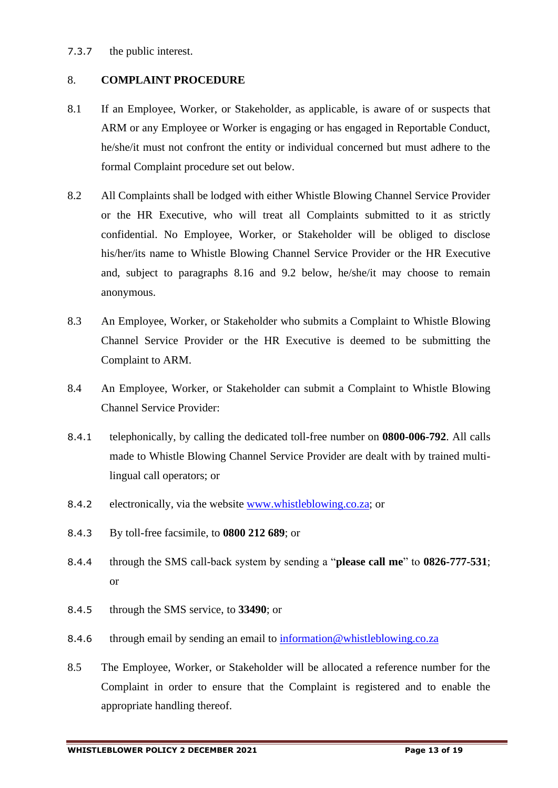7.3.7 the public interest.

# <span id="page-12-0"></span>8. **COMPLAINT PROCEDURE**

- 8.1 If an Employee, Worker, or Stakeholder, as applicable, is aware of or suspects that ARM or any Employee or Worker is engaging or has engaged in Reportable Conduct, he/she/it must not confront the entity or individual concerned but must adhere to the formal Complaint procedure set out below.
- 8.2 All Complaints shall be lodged with either Whistle Blowing Channel Service Provider or the HR Executive, who will treat all Complaints submitted to it as strictly confidential. No Employee, Worker, or Stakeholder will be obliged to disclose his/her/its name to Whistle Blowing Channel Service Provider or the HR Executive and, subject to paragraphs [8.16](#page-14-0) and [9.2](#page-15-0) below, he/she/it may choose to remain anonymous.
- 8.3 An Employee, Worker, or Stakeholder who submits a Complaint to Whistle Blowing Channel Service Provider or the HR Executive is deemed to be submitting the Complaint to ARM.
- 8.4 An Employee, Worker, or Stakeholder can submit a Complaint to Whistle Blowing Channel Service Provider:
- 8.4.1 telephonically, by calling the dedicated toll-free number on **0800-006-792**. All calls made to Whistle Blowing Channel Service Provider are dealt with by trained multilingual call operators; or
- 8.4.2 electronically, via the website [www.whistleblowing.co.za;](http://www.whistleblowing.co.za/) or
- 8.4.3 By toll-free facsimile, to **0800 212 689**; or
- 8.4.4 through the SMS call-back system by sending a "**please call me**" to **0826-777-531**; or
- 8.4.5 through the SMS service, to **33490**; or
- 8.4.6 through email by sending an email to [information@whistleblowing.co.za](mailto:information@whistleblowing.co.za)
- 8.5 The Employee, Worker, or Stakeholder will be allocated a reference number for the Complaint in order to ensure that the Complaint is registered and to enable the appropriate handling thereof.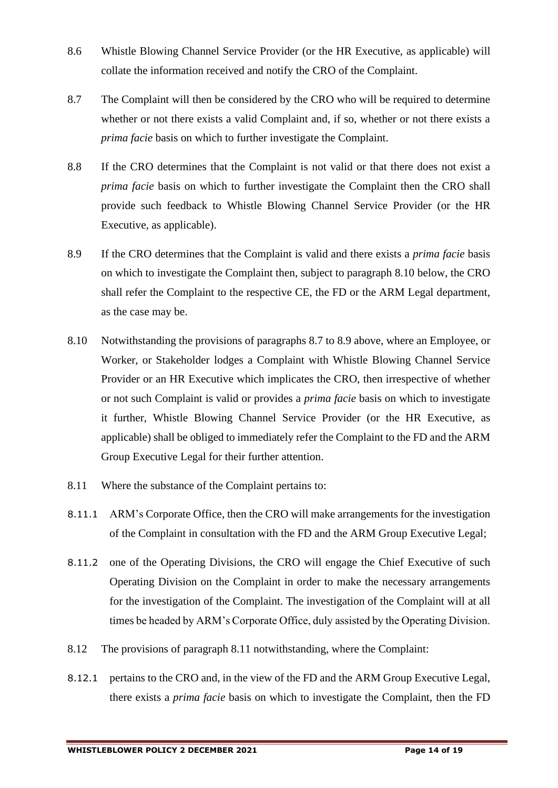- 8.6 Whistle Blowing Channel Service Provider (or the HR Executive, as applicable) will collate the information received and notify the CRO of the Complaint.
- <span id="page-13-1"></span>8.7 The Complaint will then be considered by the CRO who will be required to determine whether or not there exists a valid Complaint and, if so, whether or not there exists a *prima facie* basis on which to further investigate the Complaint.
- 8.8 If the CRO determines that the Complaint is not valid or that there does not exist a *prima facie* basis on which to further investigate the Complaint then the CRO shall provide such feedback to Whistle Blowing Channel Service Provider (or the HR Executive, as applicable).
- <span id="page-13-2"></span>8.9 If the CRO determines that the Complaint is valid and there exists a *prima facie* basis on which to investigate the Complaint then, subject to paragraph [8.10 below,](#page-13-0) the CRO shall refer the Complaint to the respective CE, the FD or the ARM Legal department, as the case may be.
- <span id="page-13-0"></span>8.10 Notwithstanding the provisions of paragraphs [8.7](#page-13-1) to [8.9](#page-13-2) above, where an Employee, or Worker, or Stakeholder lodges a Complaint with Whistle Blowing Channel Service Provider or an HR Executive which implicates the CRO, then irrespective of whether or not such Complaint is valid or provides a *prima facie* basis on which to investigate it further, Whistle Blowing Channel Service Provider (or the HR Executive, as applicable) shall be obliged to immediately refer the Complaint to the FD and the ARM Group Executive Legal for their further attention.
- <span id="page-13-3"></span>8.11 Where the substance of the Complaint pertains to:
- 8.11.1 ARM's Corporate Office, then the CRO will make arrangements for the investigation of the Complaint in consultation with the FD and the ARM Group Executive Legal;
- 8.11.2 one of the Operating Divisions, the CRO will engage the Chief Executive of such Operating Division on the Complaint in order to make the necessary arrangements for the investigation of the Complaint. The investigation of the Complaint will at all times be headed by ARM's Corporate Office, duly assisted by the Operating Division.
- <span id="page-13-4"></span>8.12 The provisions of paragraph [8.11](#page-13-3) notwithstanding, where the Complaint:
- 8.12.1 pertains to the CRO and, in the view of the FD and the ARM Group Executive Legal, there exists a *prima facie* basis on which to investigate the Complaint, then the FD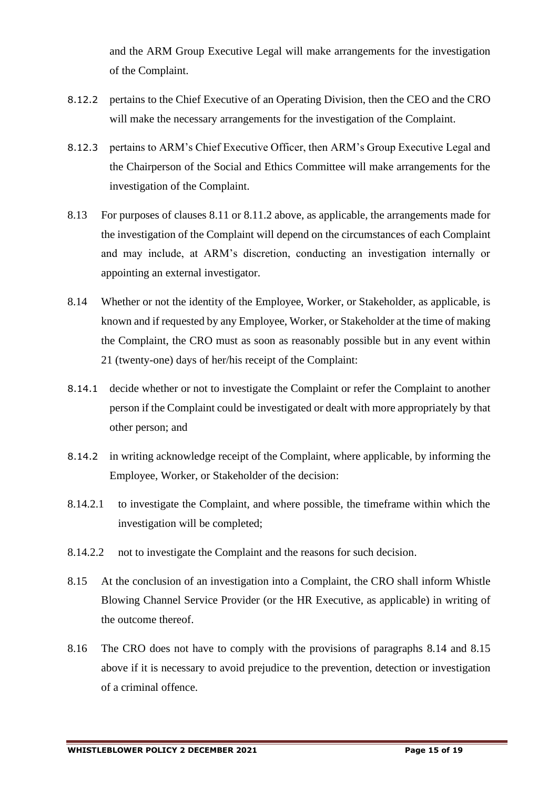and the ARM Group Executive Legal will make arrangements for the investigation of the Complaint.

- 8.12.2 pertains to the Chief Executive of an Operating Division, then the CEO and the CRO will make the necessary arrangements for the investigation of the Complaint.
- 8.12.3 pertains to ARM's Chief Executive Officer, then ARM's Group Executive Legal and the Chairperson of the Social and Ethics Committee will make arrangements for the investigation of the Complaint.
- 8.13 For purposes of clauses [8.11](#page-13-3) or [8.11.2](#page-13-4) above, as applicable, the arrangements made for the investigation of the Complaint will depend on the circumstances of each Complaint and may include, at ARM's discretion, conducting an investigation internally or appointing an external investigator.
- <span id="page-14-1"></span>8.14 Whether or not the identity of the Employee, Worker, or Stakeholder, as applicable, is known and if requested by any Employee, Worker, or Stakeholder at the time of making the Complaint, the CRO must as soon as reasonably possible but in any event within 21 (twenty-one) days of her/his receipt of the Complaint:
- 8.14.1 decide whether or not to investigate the Complaint or refer the Complaint to another person if the Complaint could be investigated or dealt with more appropriately by that other person; and
- 8.14.2 in writing acknowledge receipt of the Complaint, where applicable, by informing the Employee, Worker, or Stakeholder of the decision:
- 8.14.2.1 to investigate the Complaint, and where possible, the timeframe within which the investigation will be completed;
- 8.14.2.2 not to investigate the Complaint and the reasons for such decision.
- <span id="page-14-2"></span>8.15 At the conclusion of an investigation into a Complaint, the CRO shall inform Whistle Blowing Channel Service Provider (or the HR Executive, as applicable) in writing of the outcome thereof.
- <span id="page-14-0"></span>8.16 The CRO does not have to comply with the provisions of paragraphs [8.14](#page-14-1) and [8.15](#page-14-2) above if it is necessary to avoid prejudice to the prevention, detection or investigation of a criminal offence.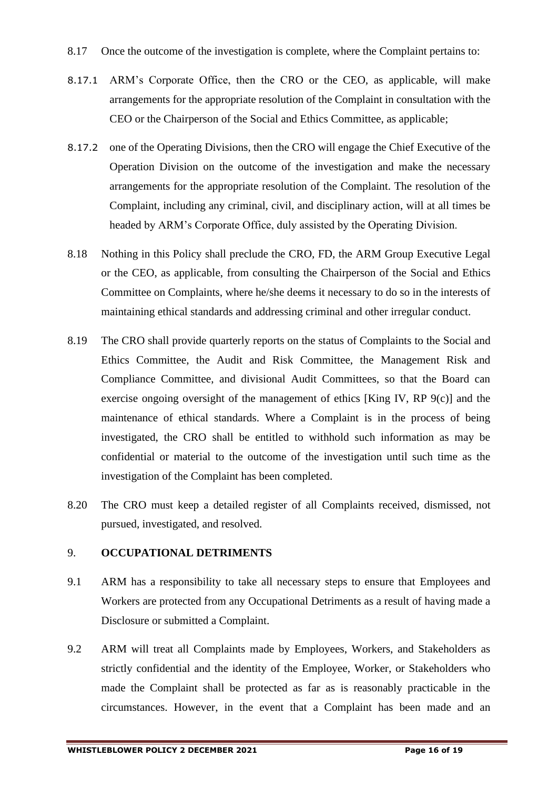- 8.17 Once the outcome of the investigation is complete, where the Complaint pertains to:
- 8.17.1 ARM's Corporate Office, then the CRO or the CEO, as applicable, will make arrangements for the appropriate resolution of the Complaint in consultation with the CEO or the Chairperson of the Social and Ethics Committee, as applicable;
- 8.17.2 one of the Operating Divisions, then the CRO will engage the Chief Executive of the Operation Division on the outcome of the investigation and make the necessary arrangements for the appropriate resolution of the Complaint. The resolution of the Complaint, including any criminal, civil, and disciplinary action, will at all times be headed by ARM's Corporate Office, duly assisted by the Operating Division.
- 8.18 Nothing in this Policy shall preclude the CRO, FD, the ARM Group Executive Legal or the CEO, as applicable, from consulting the Chairperson of the Social and Ethics Committee on Complaints, where he/she deems it necessary to do so in the interests of maintaining ethical standards and addressing criminal and other irregular conduct.
- 8.19 The CRO shall provide quarterly reports on the status of Complaints to the Social and Ethics Committee, the Audit and Risk Committee, the Management Risk and Compliance Committee, and divisional Audit Committees, so that the Board can exercise ongoing oversight of the management of ethics [King IV, RP 9(c)] and the maintenance of ethical standards. Where a Complaint is in the process of being investigated, the CRO shall be entitled to withhold such information as may be confidential or material to the outcome of the investigation until such time as the investigation of the Complaint has been completed.
- 8.20 The CRO must keep a detailed register of all Complaints received, dismissed, not pursued, investigated, and resolved.

# 9. **OCCUPATIONAL DETRIMENTS**

- 9.1 ARM has a responsibility to take all necessary steps to ensure that Employees and Workers are protected from any Occupational Detriments as a result of having made a Disclosure or submitted a Complaint.
- <span id="page-15-0"></span>9.2 ARM will treat all Complaints made by Employees, Workers, and Stakeholders as strictly confidential and the identity of the Employee, Worker, or Stakeholders who made the Complaint shall be protected as far as is reasonably practicable in the circumstances. However, in the event that a Complaint has been made and an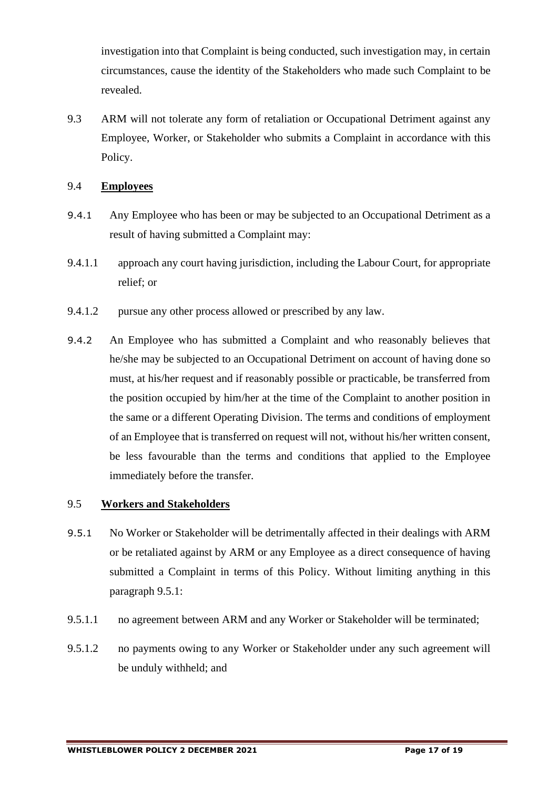investigation into that Complaint is being conducted, such investigation may, in certain circumstances, cause the identity of the Stakeholders who made such Complaint to be revealed.

9.3 ARM will not tolerate any form of retaliation or Occupational Detriment against any Employee, Worker, or Stakeholder who submits a Complaint in accordance with this Policy.

#### 9.4 **Employees**

- 9.4.1 Any Employee who has been or may be subjected to an Occupational Detriment as a result of having submitted a Complaint may:
- 9.4.1.1 approach any court having jurisdiction, including the Labour Court, for appropriate relief; or
- 9.4.1.2 pursue any other process allowed or prescribed by any law.
- 9.4.2 An Employee who has submitted a Complaint and who reasonably believes that he/she may be subjected to an Occupational Detriment on account of having done so must, at his/her request and if reasonably possible or practicable, be transferred from the position occupied by him/her at the time of the Complaint to another position in the same or a different Operating Division. The terms and conditions of employment of an Employee that is transferred on request will not, without his/her written consent, be less favourable than the terms and conditions that applied to the Employee immediately before the transfer.

# 9.5 **Workers and Stakeholders**

- <span id="page-16-0"></span>9.5.1 No Worker or Stakeholder will be detrimentally affected in their dealings with ARM or be retaliated against by ARM or any Employee as a direct consequence of having submitted a Complaint in terms of this Policy. Without limiting anything in this paragraph [9.5.1:](#page-16-0)
- 9.5.1.1 no agreement between ARM and any Worker or Stakeholder will be terminated;
- 9.5.1.2 no payments owing to any Worker or Stakeholder under any such agreement will be unduly withheld; and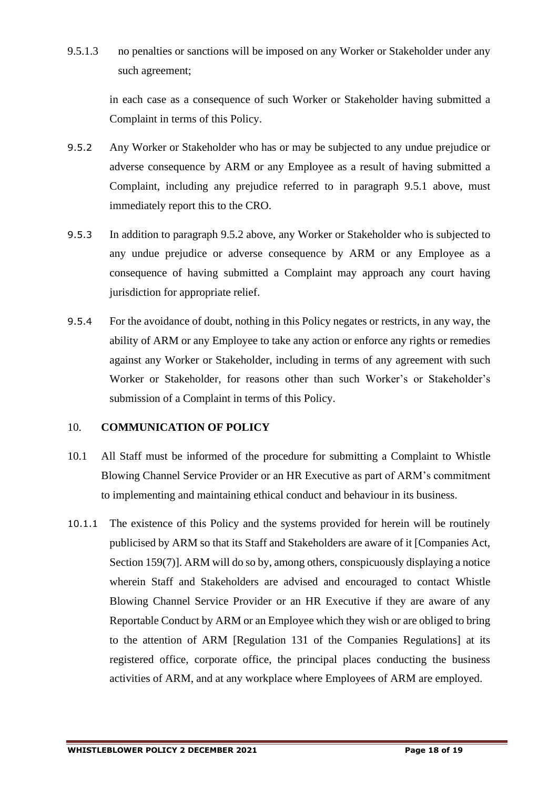9.5.1.3 no penalties or sanctions will be imposed on any Worker or Stakeholder under any such agreement;

> in each case as a consequence of such Worker or Stakeholder having submitted a Complaint in terms of this Policy.

- <span id="page-17-0"></span>9.5.2 Any Worker or Stakeholder who has or may be subjected to any undue prejudice or adverse consequence by ARM or any Employee as a result of having submitted a Complaint, including any prejudice referred to in paragraph [9.5.1](#page-16-0) above, must immediately report this to the CRO.
- 9.5.3 In addition to paragraph [9.5.2](#page-17-0) above, any Worker or Stakeholder who is subjected to any undue prejudice or adverse consequence by ARM or any Employee as a consequence of having submitted a Complaint may approach any court having jurisdiction for appropriate relief.
- 9.5.4 For the avoidance of doubt, nothing in this Policy negates or restricts, in any way, the ability of ARM or any Employee to take any action or enforce any rights or remedies against any Worker or Stakeholder, including in terms of any agreement with such Worker or Stakeholder, for reasons other than such Worker's or Stakeholder's submission of a Complaint in terms of this Policy.

# 10. **COMMUNICATION OF POLICY**

- 10.1 All Staff must be informed of the procedure for submitting a Complaint to Whistle Blowing Channel Service Provider or an HR Executive as part of ARM's commitment to implementing and maintaining ethical conduct and behaviour in its business.
- 10.1.1 The existence of this Policy and the systems provided for herein will be routinely publicised by ARM so that its Staff and Stakeholders are aware of it [Companies Act, Section 159(7)]. ARM will do so by, among others, conspicuously displaying a notice wherein Staff and Stakeholders are advised and encouraged to contact Whistle Blowing Channel Service Provider or an HR Executive if they are aware of any Reportable Conduct by ARM or an Employee which they wish or are obliged to bring to the attention of ARM [Regulation 131 of the Companies Regulations] at its registered office, corporate office, the principal places conducting the business activities of ARM, and at any workplace where Employees of ARM are employed.